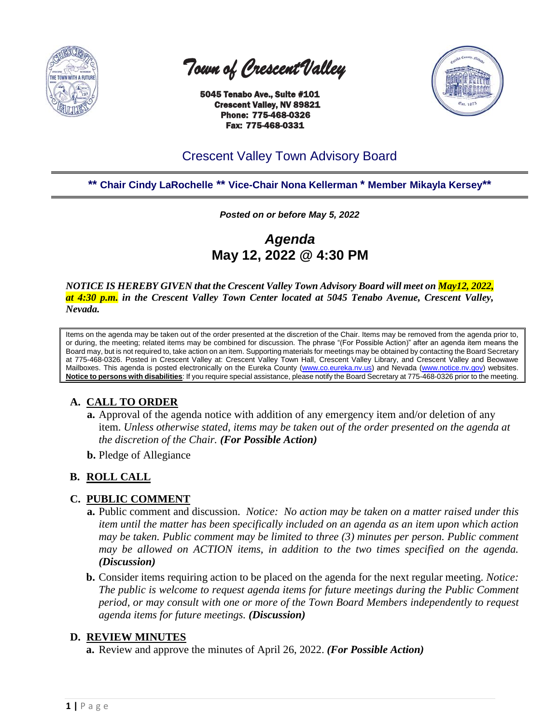

 *Town of Crescent Valley* 

 5045 Tenabo Ave., Suite #101 Crescent Valley, NV 89821 Phone: 775-468-0326 Fax: 775-468-0331



# Crescent Valley Town Advisory Board

**\*\* Chair Cindy LaRochelle \*\* Vice-Chair Nona Kellerman \* Member Mikayla Kersey\*\***

*Posted on or before May 5, 2022*

*Agenda* **May 12, 2022 @ 4:30 PM**

*NOTICE IS HEREBY GIVEN that the Crescent Valley Town Advisory Board will meet on May12, 2022, at 4:30 p.m. in the Crescent Valley Town Center located at 5045 Tenabo Avenue, Crescent Valley, Nevada.* 

Items on the agenda may be taken out of the order presented at the discretion of the Chair. Items may be removed from the agenda prior to, or during, the meeting; related items may be combined for discussion. The phrase "(For Possible Action)" after an agenda item means the Board may, but is not required to, take action on an item. Supporting materials for meetings may be obtained by contacting the Board Secretary at 775-468-0326. Posted in Crescent Valley at: Crescent Valley Town Hall, Crescent Valley Library, and Crescent Valley and Beowawe Mailboxes. This agenda is posted electronically on the Eureka County [\(www.co.eureka.nv.us\)](http://www.co.eureka.nv.us/) and Nevada [\(www.notice.nv.gov\)](http://www.notice.nv.gov/) websites. **Notice to persons with disabilities**: If you require special assistance, please notify the Board Secretary at 775-468-0326 prior to the meeting.

# **A. CALL TO ORDER**

- **a.** Approval of the agenda notice with addition of any emergency item and/or deletion of any item. *Unless otherwise stated, items may be taken out of the order presented on the agenda at the discretion of the Chair. (For Possible Action)*
- **b.** Pledge of Allegiance

# **B. ROLL CALL**

## **C. PUBLIC COMMENT**

- **a.** Public comment and discussion. *Notice: No action may be taken on a matter raised under this item until the matter has been specifically included on an agenda as an item upon which action may be taken. Public comment may be limited to three (3) minutes per person. Public comment may be allowed on ACTION items, in addition to the two times specified on the agenda. (Discussion)*
- **b.** Consider items requiring action to be placed on the agenda for the next regular meeting. *Notice: The public is welcome to request agenda items for future meetings during the Public Comment period, or may consult with one or more of the Town Board Members independently to request agenda items for future meetings. (Discussion)*

## **D. REVIEW MINUTES**

**a.** Review and approve the minutes of April 26, 2022. *(For Possible Action)*